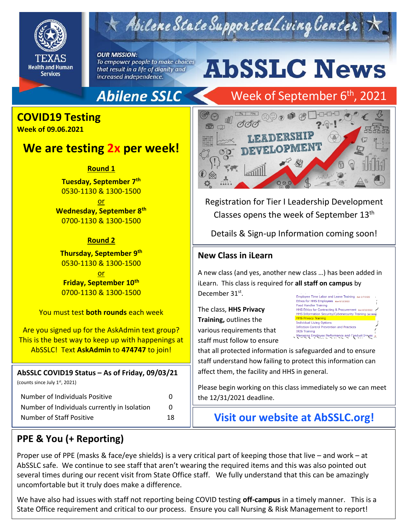

## Abilene State Supported Living Center

**OUR MISSION:** 

To empower people to make choices that result in a life of dignity and increased independence.

# **AbSSLC News**

## **Abilene SSLC**

## Week of September 6<sup>th</sup>, 2021



**Week of 09.06.2021**

### **We are testing 2x per week!**

**Round 1**

**Tuesday, September 7th** 0530-1130 & 1300-1500

or **Wednesday, September 8th** 0700-1130 & 1300-1500

#### **Round 2**

**Thursday, September 9th** 0530-1130 & 1300-1500 or **Friday, September 10th** 0700-1130 & 1300-1500

You must test **both rounds** each week

Are you signed up for the AskAdmin text group? This is the best way to keep up with happenings at AbSSLC! Text **AskAdmin** to **474747** to join!

**AbSSLC COVID19 Status – As of Friday, 09/03/21**

(counts since July 1st, 2021)

| Number of Individuals Positive               |              |
|----------------------------------------------|--------------|
| Number of Individuals currently in Isolation | $\mathbf{U}$ |
| Number of Staff Positive                     | 18           |



Registration for Tier I Leadership Development Classes opens the week of September 13th

Details & Sign-up Information coming soon!

#### **New Class in iLearn**

2019<br>2019 - 1019 - 1119 - 1119 - 1119 - 1119 - 1119 - 1119 - 1119 - 1119 - 1119 - 1119 - 1119 - 1119 - 1119 - 1119 A new class (and yes, another new class …) has been added in iLearn. This class is required for **all staff on campus** by December 31<sup>st</sup>.

The class, **HHS Privacy Training,** outlines the various requirements that staff must follow to ensure

Employee Time Labor and Leave Training due 2/7/2 Ethics for HHS Employees due 9/13/2022 Ethics for miss employees due 9/13/2022<br>Food Handler Training<br>HHS Ethics for Contracting & Procurement due 8/22/2022 HHS Information Security/Cybersecurity Training (access) **HHS Privacy Training**<br>Individual Living Options **Infection Control Prevention and Practices IRIS Training** Managing Employee Performance and Conduct Issues

that all protected information is safeguarded and to ensure staff understand how failing to protect this information can affect them, the facility and HHS in general.

Please begin working on this class immediately so we can meet the 12/31/2021 deadline.

**Visit our website at AbSSLC.org!**

#### **PPE & You (+ Reporting)**

Proper use of PPE (masks & face/eye shields) is a very critical part of keeping those that live – and work – at AbSSLC safe. We continue to see staff that aren't wearing the required items and this was also pointed out several times during our recent visit from State Office staff. We fully understand that this can be amazingly uncomfortable but it truly does make a difference.

We have also had issues with staff not reporting being COVID testing **off-campus** in a timely manner. This is a State Office requirement and critical to our process. Ensure you call Nursing & Risk Management to report!